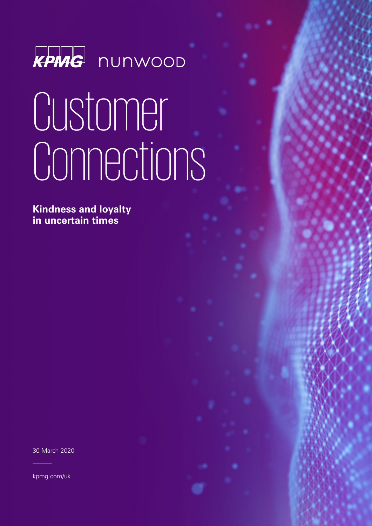

# **Customer** Connections

**Kindness and loyalty in uncertain times**

30 March 2020

[kpmg.com/](http://kpmg.com/uk)uk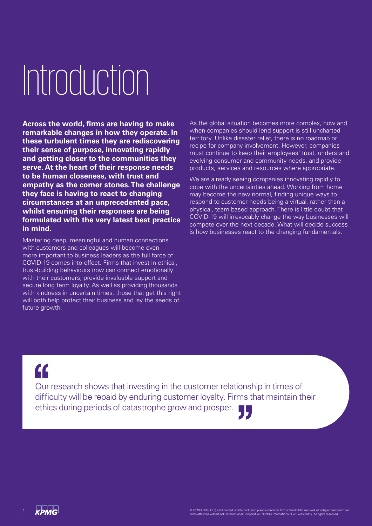## Introduction

**Across the world, firms are having to make remarkable changes in how they operate. In these turbulent times they are rediscovering their sense of purpose, innovating rapidly and getting closer to the communities they serve. At the heart of their response needs to be human closeness, with trust and empathy as the corner stones. The challenge they face is having to react to changing circumstances at an unprecedented pace, whilst ensuring their responses are being formulated with the very latest best practice in mind.**

Mastering deep, meaningful and human connections with customers and colleagues will become even more important to business leaders as the full force of COVID-19 comes into effect. Firms that invest in ethical, trust-building behaviours now can connect emotionally with their customers, provide invaluable support and secure long term loyalty. As well as providing thousands with kindness in uncertain times, those that get this right will both help protect their business and lay the seeds of future growth.

As the global situation becomes more complex, how and when companies should lend support is still uncharted territory. Unlike disaster relief, there is no roadmap or recipe for company involvement. However, companies must continue to keep their employees' trust, understand evolving consumer and community needs, and provide products, services and resources where appropriate.

We are already seeing companies innovating rapidly to cope with the uncertainties ahead. Working from home may become the new normal, finding unique ways to respond to customer needs being a virtual, rather than a physical, team based approach. There is little doubt that COVID-19 will irrevocably change the way businesses will compete over the next decade. What will decide success is how businesses react to the changing fundamentals.

 $\overline{\mathbf{G}}$ 

Our research shows that investing in the customer relationship in times of difficulty will be repaid by enduring customer loyalty. Firms that maintain their ethics during periods of catastrophe grow and prosper.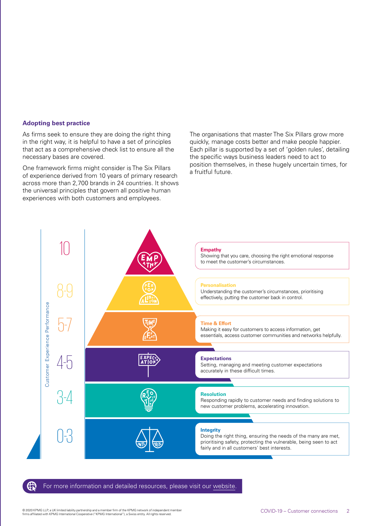#### **Adopting best practice**

As firms seek to ensure they are doing the right thing in the right way, it is helpful to have a set of principles that act as a comprehensive check list to ensure all the necessary bases are covered.

One framework firms might consider is The Six Pillars of experience derived from 10 years of primary research across more than 2,700 brands in 24 countries. It shows the universal principles that govern all positive human experiences with both customers and employees.

The organisations that master The Six Pillars grow more quickly, manage costs better and make people happier. Each pillar is supported by a set of 'golden rules', detailing the specific ways business leaders need to act to position themselves, in these hugely uncertain times, for a fruitful future.



[For more information and detailed resources, please visit our website](https://home.kpmg/xx/en/home/insights/2020/01/home.html).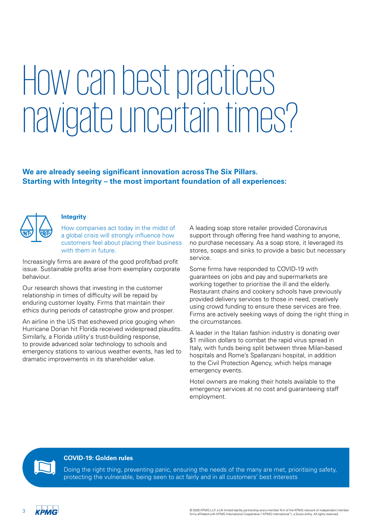## How can best practices navigate uncertain times?

#### **We are already seeing significant innovation across The Six Pillars. Starting with Integrity – the most important foundation of all experiences:**



#### **Integrity**

How companies act today in the midst of a global crisis will strongly influence how customers feel about placing their business with them in future.

Increasingly firms are aware of the good profit/bad profit issue. Sustainable profits arise from exemplary corporate behaviour.

Our research shows that investing in the customer relationship in times of difficulty will be repaid by enduring customer loyalty. Firms that maintain their ethics during periods of catastrophe grow and prosper.

An airline in the US that eschewed price gouging when Hurricane Dorian hit Florida received widespread plaudits. Similarly, a Florida utility's trust-building response, to provide advanced solar technology to schools and emergency stations to various weather events, has led to dramatic improvements in its shareholder value.

A leading soap store retailer provided Coronavirus support through offering free hand washing to anyone, no purchase necessary. As a soap store, it leveraged its stores, soaps and sinks to provide a basic but necessary service.

Some firms have responded to COVID-19 with guarantees on jobs and pay and supermarkets are working together to prioritise the ill and the elderly. Restaurant chains and cookery schools have previously provided delivery services to those in need, creatively using crowd funding to ensure these services are free. Firms are actively seeking ways of doing the right thing in the circumstances.

A leader in the Italian fashion industry is donating over \$1 million dollars to combat the rapid virus spread in Italy, with funds being split between three Milan-based hospitals and Rome's Spallanzani hospital, in addition to the Civil Protection Agency, which helps manage emergency events.

Hotel owners are making their hotels available to the emergency services at no cost and guaranteeing staff employment.

#### **COVID-19: Golden rules**

Doing the right thing, preventing panic, ensuring the needs of the many are met, prioritising safety, protecting the vulnerable, being seen to act fairly and in all customers' best interests

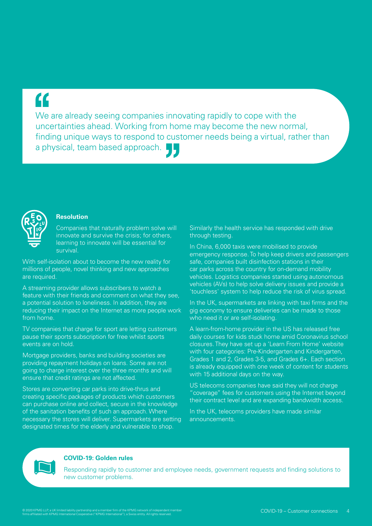### $\overline{\mathbf{G}}$

We are already seeing companies innovating rapidly to cope with the uncertainties ahead. Working from home may become the new normal, finding unique ways to respond to customer needs being a virtual, rather than a physical, team based approach.



#### **Resolution**

Companies that naturally problem solve will innovate and survive the crisis; for others, learning to innovate will be essential for survival.

With self-isolation about to become the new reality for millions of people, novel thinking and new approaches are required.

A streaming provider allows subscribers to watch a feature with their friends and comment on what they see, a potential solution to loneliness. In addition, they are reducing their impact on the Internet as more people work from home.

TV companies that charge for sport are letting customers pause their sports subscription for free whilst sports events are on hold.

Mortgage providers, banks and building societies are providing repayment holidays on loans. Some are not going to charge interest over the three months and will ensure that credit ratings are not affected.

Stores are converting car parks into drive-thrus and creating specific packages of products which customers can purchase online and collect, secure in the knowledge of the sanitation benefits of such an approach. Where necessary the stores will deliver. Supermarkets are setting designated times for the elderly and vulnerable to shop.

Similarly the health service has responded with drive through testing.

In China, 6,000 taxis were mobilised to provide emergency response. To help keep drivers and passengers safe, companies built disinfection stations in their car parks across the country for on-demand mobility vehicles. Logistics companies started using autonomous vehicles (AVs) to help solve delivery issues and provide a 'touchless' system to help reduce the risk of virus spread.

In the UK, supermarkets are linking with taxi firms and the gig economy to ensure deliveries can be made to those who need it or are self-isolating.

A learn-from-home provider in the US has released free daily courses for kids stuck home amid Coronavirus school closures. They have set up a 'Learn From Home' website with four categories: Pre-Kindergarten and Kindergarten, Grades 1 and 2, Grades 3-5, and Grades 6+. Each section is already equipped with one week of content for students with 15 additional days on the way.

US telecoms companies have said they will not charge "coverage" fees for customers using the Internet beyond their contract level and are expanding bandwidth access.

In the UK, telecoms providers have made similar announcements.



#### **COVID-19: Golden rules**

Responding rapidly to customer and employee needs, government requests and finding solutions to new customer problems.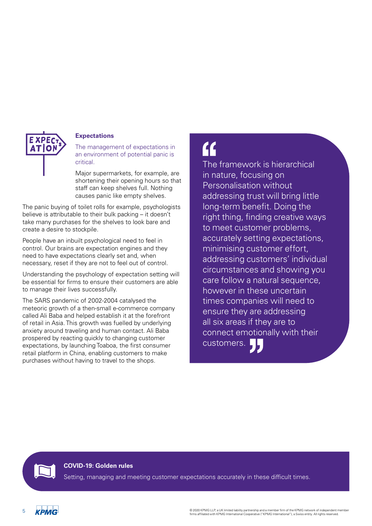

#### **Expectations**

The management of expectations in an environment of potential panic is critical.

Major supermarkets, for example, are shortening their opening hours so that staff can keep shelves full. Nothing causes panic like empty shelves.

The panic buying of toilet rolls for example, psychologists believe is attributable to their bulk packing – it doesn't take many purchases for the shelves to look bare and create a desire to stockpile.

People have an inbuilt psychological need to feel in control. Our brains are expectation engines and they need to have expectations clearly set and, when necessary, reset if they are not to feel out of control.

Understanding the psychology of expectation setting will be essential for firms to ensure their customers are able to manage their lives successfully.

The SARS pandemic of 2002-2004 catalysed the meteoric growth of a then-small e-commerce company called Ali Baba and helped establish it at the forefront of retail in Asia. This growth was fuelled by underlying anxiety around traveling and human contact. Ali Baba prospered by reacting quickly to changing customer expectations, by launching Toaboa, the first consumer retail platform in China, enabling customers to make purchases without having to travel to the shops.

## $\mathbf{C}$

The framework is hierarchical in nature, focusing on Personalisation without addressing trust will bring little long-term benefit. Doing the right thing, finding creative ways to meet customer problems, accurately setting expectations, minimising customer effort, addressing customers' individual circumstances and showing you care follow a natural sequence, however in these uncertain times companies will need to ensure they are addressing all six areas if they are to connect emotionally with their customers. L

#### **COVID-19: Golden rules**

Setting, managing and meeting customer expectations accurately in these difficult times.

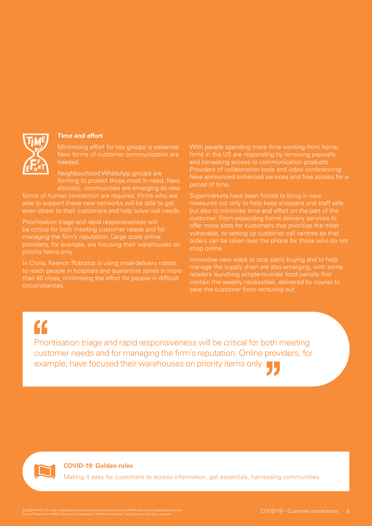

#### **Time and effort**

Minimising effort for key groups is essential. New forms of customer communication are needed.

Neighbourhood WhatsApp groups are forming to protect those most in need. New, altruistic, communities are emerging as new

forms of human connection are required. Firms who are able to support these new networks will be able to get even closer to their customers and help solve real needs.

Prioritisation triage and rapid responsiveness will be critical for both meeting customer needs and for managing the firm's reputation. Large scale online providers, for example, are focusing their warehouses on

In China, Keenon Robotics is using meal-delivery robots to reach people in hospitals and quarantine zones in more than 40 cities, minimising the effort for people in difficult circumstances.

With people spending more time working from home, firms in the US are responding by removing paywalls and increasing access to communication products. Providers of collaboration tools and video conferencing have announced enhanced services and free access for a period of time.

Supermarkets have been forced to bring in new measures not only to help keep shoppers and staff safe, but also to minimise time and effort on the part of the customer. From expanding home delivery services to offer more slots for customers that prioritise the most vulnerable, to setting up customer call centres so that orders can be taken over the phone for those who do not shop online.

Innovative new ways to stop panic buying and to help manage the supply chain are also emerging, with some retailers launching simple-to-order food parcels that contain the weekly necessities, delivered by courier to save the customer from venturing out.

 $\mathbf{K}$ 

Prioritisation triage and rapid responsiveness will be critical for both meeting customer needs and for managing the firm's reputation. Online providers, for example, have focused their warehouses on priority items only.

#### **COVID-19: Golden rules**

Making it easy for customers to access information, get essentials, harnessing communities.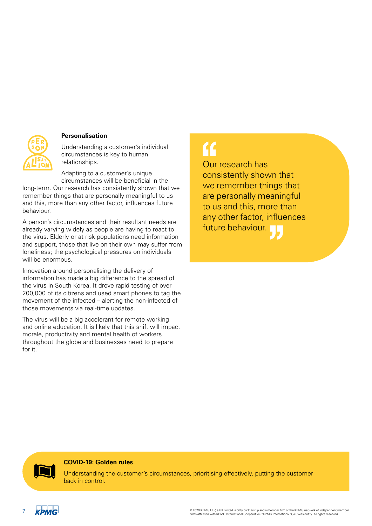

#### **Personalisation**

Understanding a customer's individual circumstances is key to human relationships.

Adapting to a customer's unique circumstances will be beneficial in the

long-term. Our research has consistently shown that we remember things that are personally meaningful to us and this, more than any other factor, influences future behaviour.

A person's circumstances and their resultant needs are already varying widely as people are having to react to the virus. Elderly or at risk populations need information and support, those that live on their own may suffer from loneliness; the psychological pressures on individuals will be enormous.

Innovation around personalising the delivery of information has made a big difference to the spread of the virus in South Korea. It drove rapid testing of over 200,000 of its citizens and used smart phones to tag the movement of the infected – alerting the non-infected of those movements via real-time updates.

The virus will be a big accelerant for remote working and online education. It is likely that this shift will impact morale, productivity and mental health of workers throughout the globe and businesses need to prepare for it.

### $\boldsymbol{\mathcal{U}}$

Our research has consistently shown that we remember things that are personally meaningful to us and this, more than any other factor, influences future behaviour.

#### **COVID-19: Golden rules**

Understanding the customer's circumstances, prioritising effectively, putting the customer back in control.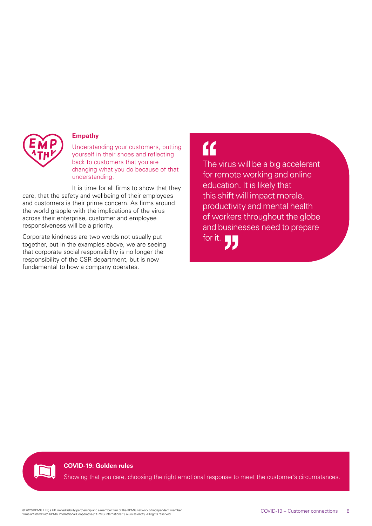

#### **Empathy**

Understanding your customers, putting yourself in their shoes and reflecting back to customers that you are changing what you do because of that understanding.

It is time for all firms to show that they care, that the safety and wellbeing of their employees and customers is their prime concern. As firms around the world grapple with the implications of the virus across their enterprise, customer and employee responsiveness will be a priority.

Corporate kindness are two words not usually put together, but in the examples above, we are seeing that corporate social responsibility is no longer the responsibility of the CSR department, but is now fundamental to how a company operates.

### $\epsilon$

The virus will be a big accelerant for remote working and online education. It is likely that this shift will impact morale, productivity and mental health of workers throughout the globe and businesses need to prepare for it.

**COVID-19: Golden rules**

Showing that you care, choosing the right emotional response to meet the customer's circumstances.